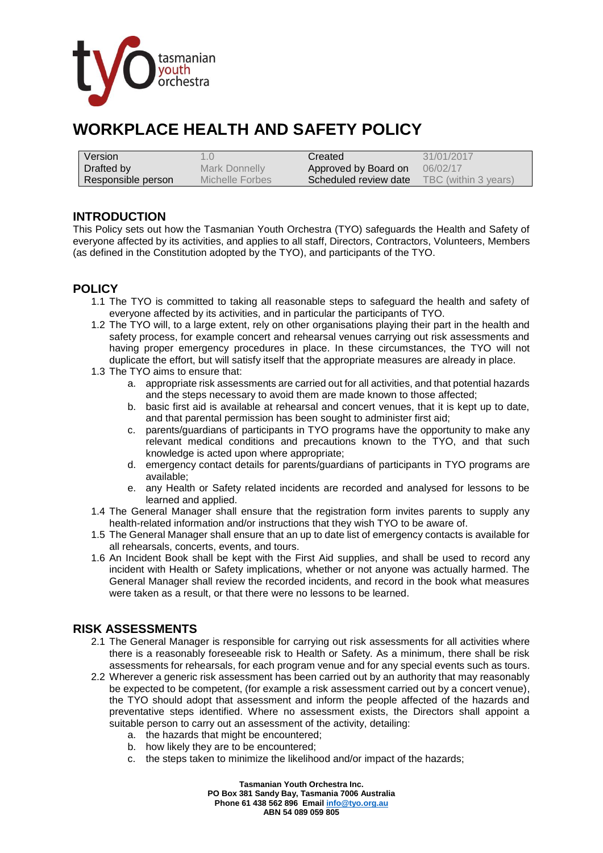

# **WORKPLACE HEALTH AND SAFETY POLICY**

| Version            |                 | Created               | 31/01/2017           |
|--------------------|-----------------|-----------------------|----------------------|
| Drafted by         | Mark Donnelly   | Approved by Board on  | 06/02/17             |
| Responsible person | Michelle Forbes | Scheduled review date | TBC (within 3 years) |

### **INTRODUCTION**

This Policy sets out how the Tasmanian Youth Orchestra (TYO) safeguards the Health and Safety of everyone affected by its activities, and applies to all staff, Directors, Contractors, Volunteers, Members (as defined in the Constitution adopted by the TYO), and participants of the TYO.

### **POLICY**

- 1.1 The TYO is committed to taking all reasonable steps to safeguard the health and safety of everyone affected by its activities, and in particular the participants of TYO.
- 1.2 The TYO will, to a large extent, rely on other organisations playing their part in the health and safety process, for example concert and rehearsal venues carrying out risk assessments and having proper emergency procedures in place. In these circumstances, the TYO will not duplicate the effort, but will satisfy itself that the appropriate measures are already in place.
- 1.3 The TYO aims to ensure that:
	- a. appropriate risk assessments are carried out for all activities, and that potential hazards and the steps necessary to avoid them are made known to those affected;
	- b. basic first aid is available at rehearsal and concert venues, that it is kept up to date, and that parental permission has been sought to administer first aid;
	- c. parents/guardians of participants in TYO programs have the opportunity to make any relevant medical conditions and precautions known to the TYO, and that such knowledge is acted upon where appropriate;
	- d. emergency contact details for parents/guardians of participants in TYO programs are available;
	- e. any Health or Safety related incidents are recorded and analysed for lessons to be learned and applied.
- 1.4 The General Manager shall ensure that the registration form invites parents to supply any health-related information and/or instructions that they wish TYO to be aware of.
- 1.5 The General Manager shall ensure that an up to date list of emergency contacts is available for all rehearsals, concerts, events, and tours.
- 1.6 An Incident Book shall be kept with the First Aid supplies, and shall be used to record any incident with Health or Safety implications, whether or not anyone was actually harmed. The General Manager shall review the recorded incidents, and record in the book what measures were taken as a result, or that there were no lessons to be learned.

# **RISK ASSESSMENTS**

- 2.1 The General Manager is responsible for carrying out risk assessments for all activities where there is a reasonably foreseeable risk to Health or Safety. As a minimum, there shall be risk assessments for rehearsals, for each program venue and for any special events such as tours.
- 2.2 Wherever a generic risk assessment has been carried out by an authority that may reasonably be expected to be competent, (for example a risk assessment carried out by a concert venue), the TYO should adopt that assessment and inform the people affected of the hazards and preventative steps identified. Where no assessment exists, the Directors shall appoint a suitable person to carry out an assessment of the activity, detailing:
	- a. the hazards that might be encountered;
	- b. how likely they are to be encountered;
	- c. the steps taken to minimize the likelihood and/or impact of the hazards;

**Tasmanian Youth Orchestra Inc.**

**PO Box 381 Sandy Bay, Tasmania 7006 Australia Phone 61 438 562 896 Emai[l info@tyo.org.au](mailto:info@tyo.org.au)**

**ABN 54 089 059 805**